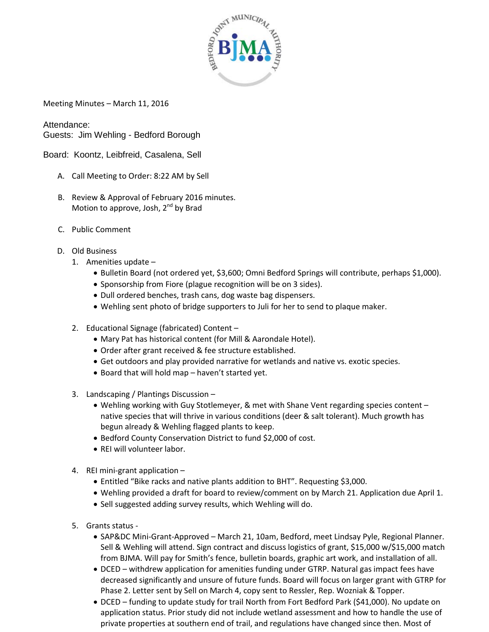

Meeting Minutes – March 11, 2016

Attendance: Guests: Jim Wehling - Bedford Borough

Board: Koontz, Leibfreid, Casalena, Sell

- A. Call Meeting to Order: 8:22 AM by Sell
- B. Review & Approval of February 2016 minutes. Motion to approve, Josh,  $2^{nd}$  by Brad
- C. Public Comment
- D. Old Business
	- 1. Amenities update
		- Bulletin Board (not ordered yet, \$3,600; Omni Bedford Springs will contribute, perhaps \$1,000).
		- Sponsorship from Fiore (plague recognition will be on 3 sides).
		- Dull ordered benches, trash cans, dog waste bag dispensers.
		- Wehling sent photo of bridge supporters to Juli for her to send to plaque maker.
	- 2. Educational Signage (fabricated) Content
		- Mary Pat has historical content (for Mill & Aarondale Hotel).
		- Order after grant received & fee structure established.
		- Get outdoors and play provided narrative for wetlands and native vs. exotic species.
		- Board that will hold map haven't started yet.
	- 3. Landscaping / Plantings Discussion
		- Wehling working with Guy Stotlemeyer, & met with Shane Vent regarding species content native species that will thrive in various conditions (deer & salt tolerant). Much growth has begun already & Wehling flagged plants to keep.
		- Bedford County Conservation District to fund \$2,000 of cost.
		- REI will volunteer labor.
	- 4. REI mini-grant application
		- Entitled "Bike racks and native plants addition to BHT". Requesting \$3,000.
		- Wehling provided a draft for board to review/comment on by March 21. Application due April 1.
		- Sell suggested adding survey results, which Wehling will do.
	- 5. Grants status
		- SAP&DC Mini-Grant-Approved March 21, 10am, Bedford, meet Lindsay Pyle, Regional Planner. Sell & Wehling will attend. Sign contract and discuss logistics of grant, \$15,000 w/\$15,000 match from BJMA. Will pay for Smith's fence, bulletin boards, graphic art work, and installation of all.
		- DCED withdrew application for amenities funding under GTRP. Natural gas impact fees have decreased significantly and unsure of future funds. Board will focus on larger grant with GTRP for Phase 2. Letter sent by Sell on March 4, copy sent to Ressler, Rep. Wozniak & Topper.
		- DCED funding to update study for trail North from Fort Bedford Park (\$41,000). No update on application status. Prior study did not include wetland assessment and how to handle the use of private properties at southern end of trail, and regulations have changed since then. Most of